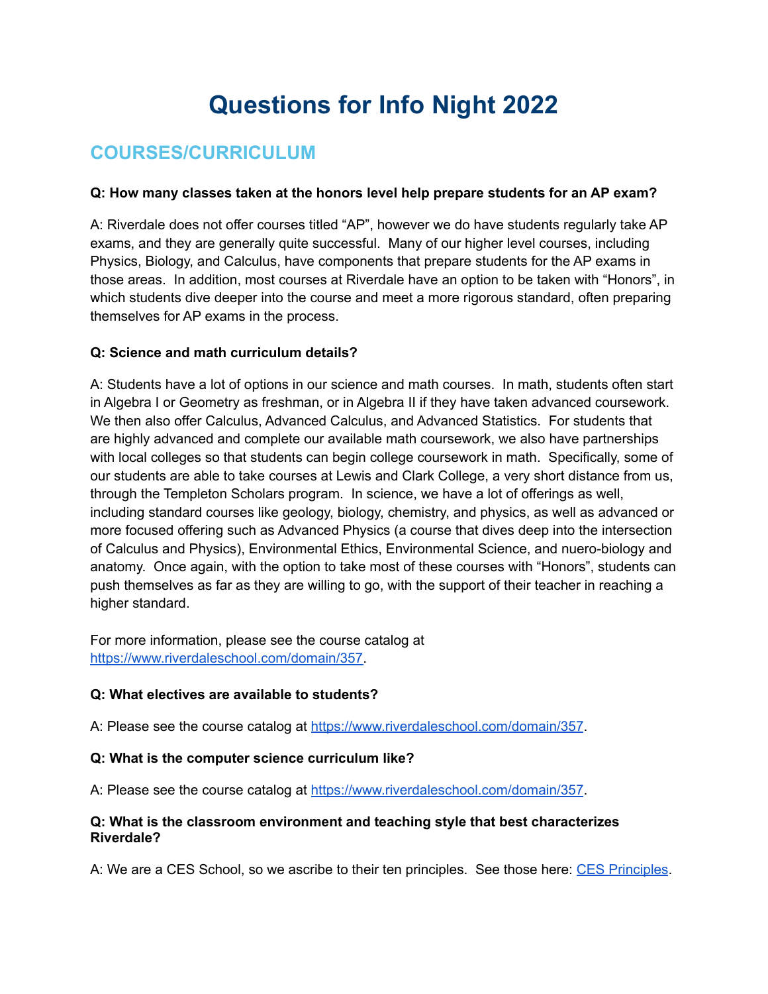# **Questions for Info Night 2022**

# **COURSES/CURRICULUM**

#### **Q: How many classes taken at the honors level help prepare students for an AP exam?**

A: Riverdale does not offer courses titled "AP", however we do have students regularly take AP exams, and they are generally quite successful. Many of our higher level courses, including Physics, Biology, and Calculus, have components that prepare students for the AP exams in those areas. In addition, most courses at Riverdale have an option to be taken with "Honors", in which students dive deeper into the course and meet a more rigorous standard, often preparing themselves for AP exams in the process.

#### **Q: Science and math curriculum details?**

A: Students have a lot of options in our science and math courses. In math, students often start in Algebra I or Geometry as freshman, or in Algebra II if they have taken advanced coursework. We then also offer Calculus, Advanced Calculus, and Advanced Statistics. For students that are highly advanced and complete our available math coursework, we also have partnerships with local colleges so that students can begin college coursework in math. Specifically, some of our students are able to take courses at Lewis and Clark College, a very short distance from us, through the Templeton Scholars program. In science, we have a lot of offerings as well, including standard courses like geology, biology, chemistry, and physics, as well as advanced or more focused offering such as Advanced Physics (a course that dives deep into the intersection of Calculus and Physics), Environmental Ethics, Environmental Science, and nuero-biology and anatomy. Once again, with the option to take most of these courses with "Honors", students can push themselves as far as they are willing to go, with the support of their teacher in reaching a higher standard.

For more information, please see the course catalog at [https://www.riverdaleschool.com/domain/357.](https://www.riverdaleschool.com/domain/357)

#### **Q: What electives are available to students?**

A: Please see the course catalog at <https://www.riverdaleschool.com/domain/357>.

#### **Q: What is the computer science curriculum like?**

A: Please see the course catalog at <https://www.riverdaleschool.com/domain/357>.

#### **Q: What is the classroom environment and teaching style that best characterizes Riverdale?**

A: We are a CES School, so we ascribe to their ten principles. See those here: CES [Principles](http://72.47.233.142/~essentialschools/wp-content/uploads/2015/01/CES_Poster-11-x-17.pdf).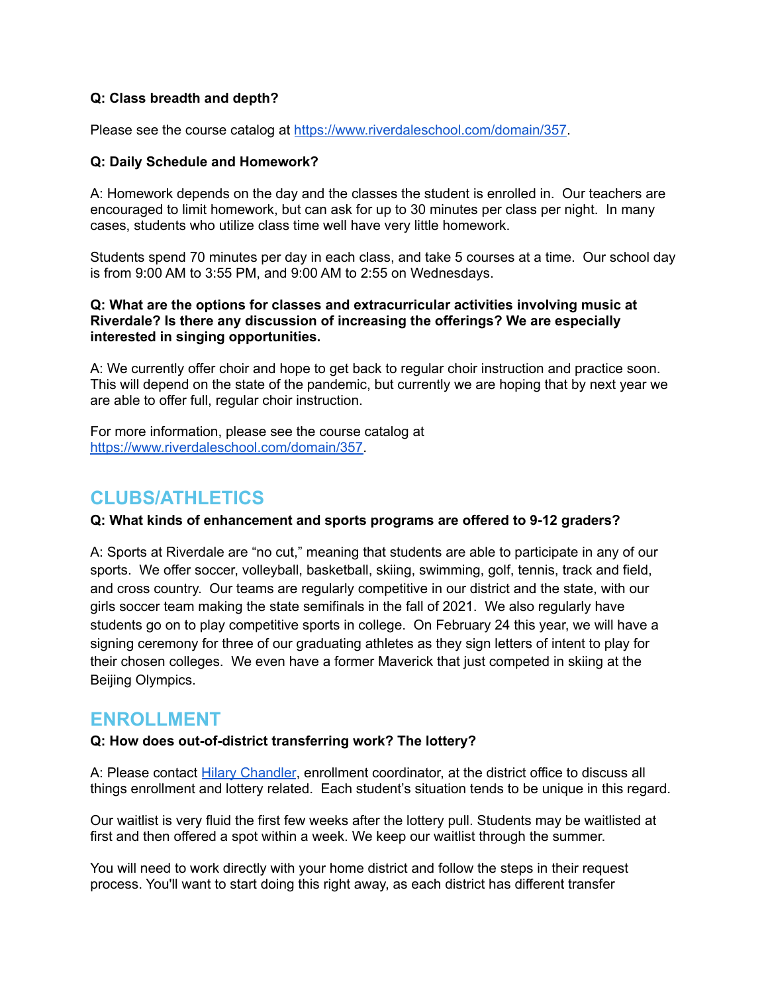#### **Q: Class breadth and depth?**

Please see the course catalog at <https://www.riverdaleschool.com/domain/357>.

#### **Q: Daily Schedule and Homework?**

A: Homework depends on the day and the classes the student is enrolled in. Our teachers are encouraged to limit homework, but can ask for up to 30 minutes per class per night. In many cases, students who utilize class time well have very little homework.

Students spend 70 minutes per day in each class, and take 5 courses at a time. Our school day is from 9:00 AM to 3:55 PM, and 9:00 AM to 2:55 on Wednesdays.

#### **Q: What are the options for classes and extracurricular activities involving music at Riverdale? Is there any discussion of increasing the offerings? We are especially interested in singing opportunities.**

A: We currently offer choir and hope to get back to regular choir instruction and practice soon. This will depend on the state of the pandemic, but currently we are hoping that by next year we are able to offer full, regular choir instruction.

For more information, please see the course catalog at [https://www.riverdaleschool.com/domain/357.](https://www.riverdaleschool.com/domain/357)

# **CLUBS/ATHLETICS**

#### **Q: What kinds of enhancement and sports programs are offered to 9-12 graders?**

A: Sports at Riverdale are "no cut," meaning that students are able to participate in any of our sports. We offer soccer, volleyball, basketball, skiing, swimming, golf, tennis, track and field, and cross country. Our teams are regularly competitive in our district and the state, with our girls soccer team making the state semifinals in the fall of 2021. We also regularly have students go on to play competitive sports in college. On February 24 this year, we will have a signing ceremony for three of our graduating athletes as they sign letters of intent to play for their chosen colleges. We even have a former Maverick that just competed in skiing at the Beijing Olympics.

## **ENROLLMENT**

#### **Q: How does out-of-district transferring work? The lottery?**

A: Please contact Hilary [Chandler](mailto:hchandler@riverdale.k12.or.us), enrollment coordinator, at the district office to discuss all things enrollment and lottery related. Each student's situation tends to be unique in this regard.

Our waitlist is very fluid the first few weeks after the lottery pull. Students may be waitlisted at first and then offered a spot within a week. We keep our waitlist through the summer.

You will need to work directly with your home district and follow the steps in their request process. You'll want to start doing this right away, as each district has different transfer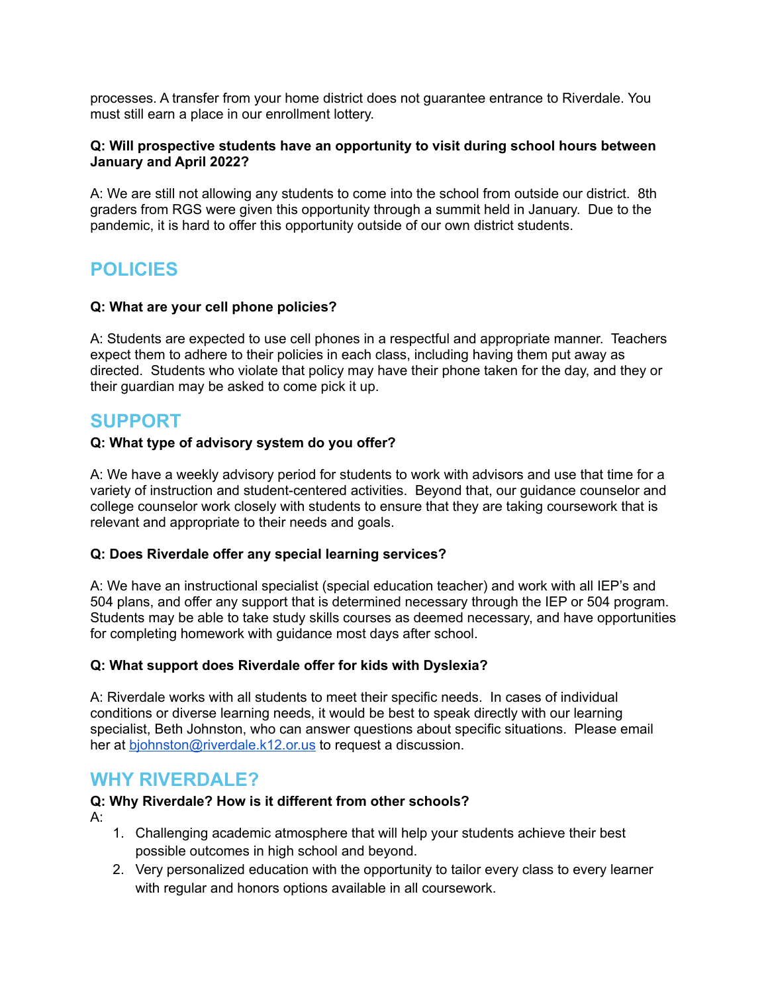processes. A transfer from your home district does not guarantee entrance to Riverdale. You must still earn a place in our enrollment lottery.

#### **Q: Will prospective students have an opportunity to visit during school hours between January and April 2022?**

A: We are still not allowing any students to come into the school from outside our district. 8th graders from RGS were given this opportunity through a summit held in January. Due to the pandemic, it is hard to offer this opportunity outside of our own district students.

# **POLICIES**

#### **Q: What are your cell phone policies?**

A: Students are expected to use cell phones in a respectful and appropriate manner. Teachers expect them to adhere to their policies in each class, including having them put away as directed. Students who violate that policy may have their phone taken for the day, and they or their guardian may be asked to come pick it up.

# **SUPPORT**

#### **Q: What type of advisory system do you offer?**

A: We have a weekly advisory period for students to work with advisors and use that time for a variety of instruction and student-centered activities. Beyond that, our guidance counselor and college counselor work closely with students to ensure that they are taking coursework that is relevant and appropriate to their needs and goals.

#### **Q: Does Riverdale offer any special learning services?**

A: We have an instructional specialist (special education teacher) and work with all IEP's and 504 plans, and offer any support that is determined necessary through the IEP or 504 program. Students may be able to take study skills courses as deemed necessary, and have opportunities for completing homework with guidance most days after school.

#### **Q: What support does Riverdale offer for kids with Dyslexia?**

A: Riverdale works with all students to meet their specific needs. In cases of individual conditions or diverse learning needs, it would be best to speak directly with our learning specialist, Beth Johnston, who can answer questions about specific situations. Please email her at [bjohnston@riverdale.k12.or.us](mailto:bjohnston@riverdale.k12.or.us) to request a discussion.

## **WHY RIVERDALE?**

#### **Q: Why Riverdale? How is it different from other schools?**

A:

- 1. Challenging academic atmosphere that will help your students achieve their best possible outcomes in high school and beyond.
- 2. Very personalized education with the opportunity to tailor every class to every learner with regular and honors options available in all coursework.